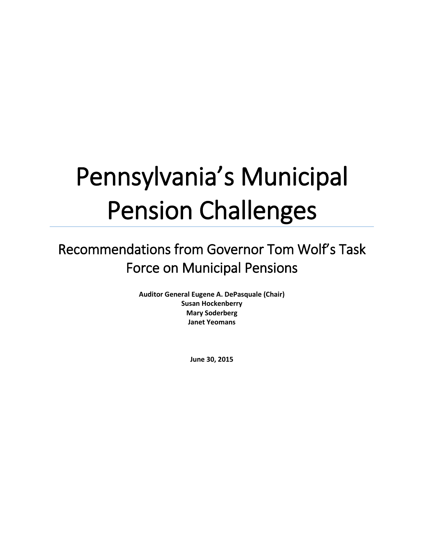# Pennsylvania's Municipal Pension Challenges

# Recommendations from Governor Tom Wolf's Task Force on Municipal Pensions

**Auditor General Eugene A. DePasquale (Chair) Susan Hockenberry Mary Soderberg Janet Yeomans**

**June 30, 2015**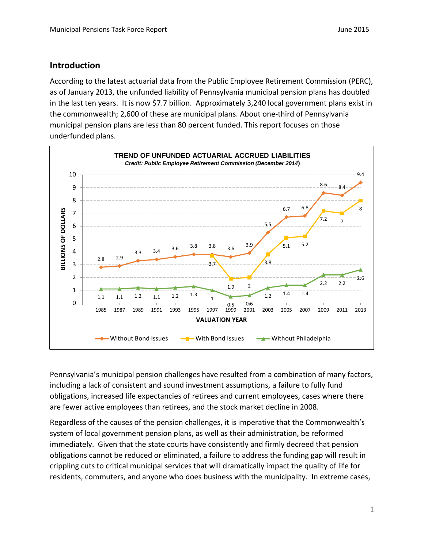#### **Introduction**

According to the latest actuarial data from the Public Employee Retirement Commission (PERC), as of January 2013, the unfunded liability of Pennsylvania municipal pension plans has doubled in the last ten years. It is now \$7.7 billion. Approximately 3,240 local government plans exist in the commonwealth; 2,600 of these are municipal plans. About one-third of Pennsylvania municipal pension plans are less than 80 percent funded. This report focuses on those underfunded plans.



Pennsylvania's municipal pension challenges have resulted from a combination of many factors, including a lack of consistent and sound investment assumptions, a failure to fully fund obligations, increased life expectancies of retirees and current employees, cases where there are fewer active employees than retirees, and the stock market decline in 2008.

Regardless of the causes of the pension challenges, it is imperative that the Commonwealth's system of local government pension plans, as well as their administration, be reformed immediately. Given that the state courts have consistently and firmly decreed that pension obligations cannot be reduced or eliminated, a failure to address the funding gap will result in crippling cuts to critical municipal services that will dramatically impact the quality of life for residents, commuters, and anyone who does business with the municipality. In extreme cases,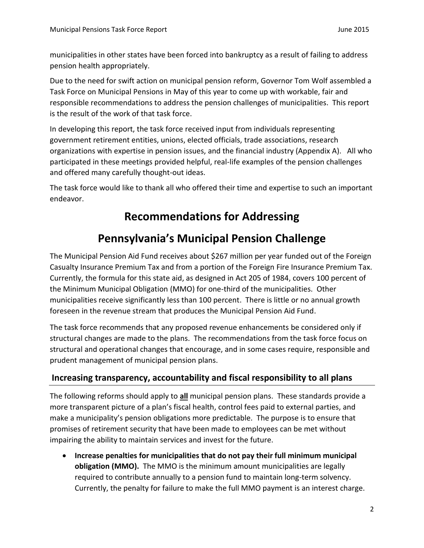municipalities in other states have been forced into bankruptcy as a result of failing to address pension health appropriately.

Due to the need for swift action on municipal pension reform, Governor Tom Wolf assembled a Task Force on Municipal Pensions in May of this year to come up with workable, fair and responsible recommendations to address the pension challenges of municipalities. This report is the result of the work of that task force.

In developing this report, the task force received input from individuals representing government retirement entities, unions, elected officials, trade associations, research organizations with expertise in pension issues, and the financial industry (Appendix A). All who participated in these meetings provided helpful, real-life examples of the pension challenges and offered many carefully thought-out ideas.

The task force would like to thank all who offered their time and expertise to such an important endeavor.

## **Recommendations for Addressing**

# **Pennsylvania's Municipal Pension Challenge**

The Municipal Pension Aid Fund receives about \$267 million per year funded out of the Foreign Casualty Insurance Premium Tax and from a portion of the Foreign Fire Insurance Premium Tax. Currently, the formula for this state aid, as designed in Act 205 of 1984, covers 100 percent of the Minimum Municipal Obligation (MMO) for one-third of the municipalities. Other municipalities receive significantly less than 100 percent. There is little or no annual growth foreseen in the revenue stream that produces the Municipal Pension Aid Fund.

The task force recommends that any proposed revenue enhancements be considered only if structural changes are made to the plans. The recommendations from the task force focus on structural and operational changes that encourage, and in some cases require, responsible and prudent management of municipal pension plans.

#### **Increasing transparency, accountability and fiscal responsibility to all plans**

The following reforms should apply to **all** municipal pension plans. These standards provide a more transparent picture of a plan's fiscal health, control fees paid to external parties, and make a municipality's pension obligations more predictable. The purpose is to ensure that promises of retirement security that have been made to employees can be met without impairing the ability to maintain services and invest for the future.

 **Increase penalties for municipalities that do not pay their full minimum municipal obligation (MMO).** The MMO is the minimum amount municipalities are legally required to contribute annually to a pension fund to maintain long-term solvency. Currently, the penalty for failure to make the full MMO payment is an interest charge.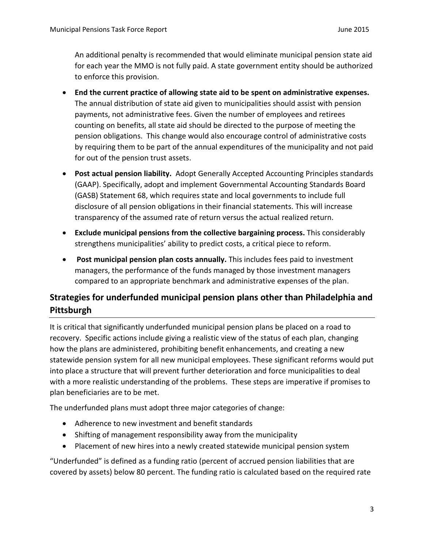An additional penalty is recommended that would eliminate municipal pension state aid for each year the MMO is not fully paid. A state government entity should be authorized to enforce this provision.

- **End the current practice of allowing state aid to be spent on administrative expenses.** The annual distribution of state aid given to municipalities should assist with pension payments, not administrative fees. Given the number of employees and retirees counting on benefits, all state aid should be directed to the purpose of meeting the pension obligations. This change would also encourage control of administrative costs by requiring them to be part of the annual expenditures of the municipality and not paid for out of the pension trust assets.
- **Post actual pension liability.** Adopt Generally Accepted Accounting Principles standards (GAAP). Specifically, adopt and implement Governmental Accounting Standards Board (GASB) Statement 68, which requires state and local governments to include full disclosure of all pension obligations in their financial statements. This will increase transparency of the assumed rate of return versus the actual realized return.
- **Exclude municipal pensions from the collective bargaining process.** This considerably strengthens municipalities' ability to predict costs, a critical piece to reform.
- **Post municipal pension plan costs annually.** This includes fees paid to investment managers, the performance of the funds managed by those investment managers compared to an appropriate benchmark and administrative expenses of the plan.

### **Strategies for underfunded municipal pension plans other than Philadelphia and Pittsburgh**

It is critical that significantly underfunded municipal pension plans be placed on a road to recovery. Specific actions include giving a realistic view of the status of each plan, changing how the plans are administered, prohibiting benefit enhancements, and creating a new statewide pension system for all new municipal employees. These significant reforms would put into place a structure that will prevent further deterioration and force municipalities to deal with a more realistic understanding of the problems. These steps are imperative if promises to plan beneficiaries are to be met.

The underfunded plans must adopt three major categories of change:

- Adherence to new investment and benefit standards
- Shifting of management responsibility away from the municipality
- Placement of new hires into a newly created statewide municipal pension system

"Underfunded" is defined as a funding ratio (percent of accrued pension liabilities that are covered by assets) below 80 percent. The funding ratio is calculated based on the required rate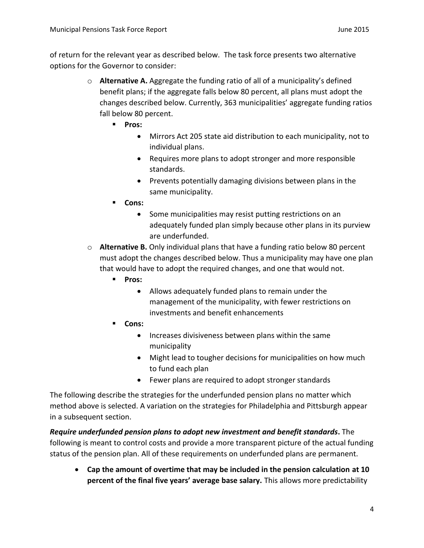of return for the relevant year as described below. The task force presents two alternative options for the Governor to consider:

- o **Alternative A.** Aggregate the funding ratio of all of a municipality's defined benefit plans; if the aggregate falls below 80 percent, all plans must adopt the changes described below. Currently, 363 municipalities' aggregate funding ratios fall below 80 percent.
	- **Pros:** 
		- Mirrors Act 205 state aid distribution to each municipality, not to individual plans.
		- Requires more plans to adopt stronger and more responsible standards.
		- Prevents potentially damaging divisions between plans in the same municipality.
	- **Cons:**
		- Some municipalities may resist putting restrictions on an adequately funded plan simply because other plans in its purview are underfunded.
- o **Alternative B.** Only individual plans that have a funding ratio below 80 percent must adopt the changes described below. Thus a municipality may have one plan that would have to adopt the required changes, and one that would not.
	- **Pros:** 
		- Allows adequately funded plans to remain under the management of the municipality, with fewer restrictions on investments and benefit enhancements
	- **Cons:**
		- Increases divisiveness between plans within the same municipality
		- Might lead to tougher decisions for municipalities on how much to fund each plan
		- Fewer plans are required to adopt stronger standards

The following describe the strategies for the underfunded pension plans no matter which method above is selected. A variation on the strategies for Philadelphia and Pittsburgh appear in a subsequent section.

*Require underfunded pension plans to adopt new investment and benefit standards***.** The following is meant to control costs and provide a more transparent picture of the actual funding status of the pension plan. All of these requirements on underfunded plans are permanent.

 **Cap the amount of overtime that may be included in the pension calculation at 10 percent of the final five years' average base salary.** This allows more predictability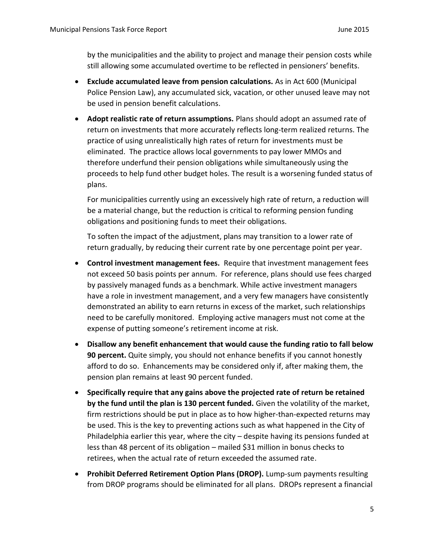by the municipalities and the ability to project and manage their pension costs while still allowing some accumulated overtime to be reflected in pensioners' benefits.

- **Exclude accumulated leave from pension calculations.** As in Act 600 (Municipal Police Pension Law), any accumulated sick, vacation, or other unused leave may not be used in pension benefit calculations.
- **Adopt realistic rate of return assumptions.** Plans should adopt an assumed rate of return on investments that more accurately reflects long-term realized returns. The practice of using unrealistically high rates of return for investments must be eliminated. The practice allows local governments to pay lower MMOs and therefore underfund their pension obligations while simultaneously using the proceeds to help fund other budget holes. The result is a worsening funded status of plans.

For municipalities currently using an excessively high rate of return, a reduction will be a material change, but the reduction is critical to reforming pension funding obligations and positioning funds to meet their obligations.

To soften the impact of the adjustment, plans may transition to a lower rate of return gradually, by reducing their current rate by one percentage point per year.

- **Control investment management fees.** Require that investment management fees not exceed 50 basis points per annum. For reference, plans should use fees charged by passively managed funds as a benchmark. While active investment managers have a role in investment management, and a very few managers have consistently demonstrated an ability to earn returns in excess of the market, such relationships need to be carefully monitored. Employing active managers must not come at the expense of putting someone's retirement income at risk.
- **Disallow any benefit enhancement that would cause the funding ratio to fall below 90 percent.** Quite simply, you should not enhance benefits if you cannot honestly afford to do so. Enhancements may be considered only if, after making them, the pension plan remains at least 90 percent funded.
- **Specifically require that any gains above the projected rate of return be retained by the fund until the plan is 130 percent funded.** Given the volatility of the market, firm restrictions should be put in place as to how higher-than-expected returns may be used. This is the key to preventing actions such as what happened in the City of Philadelphia earlier this year, where the city – despite having its pensions funded at less than 48 percent of its obligation – mailed \$31 million in bonus checks to retirees, when the actual rate of return exceeded the assumed rate.
- **Prohibit Deferred Retirement Option Plans (DROP).** Lump-sum payments resulting from DROP programs should be eliminated for all plans. DROPs represent a financial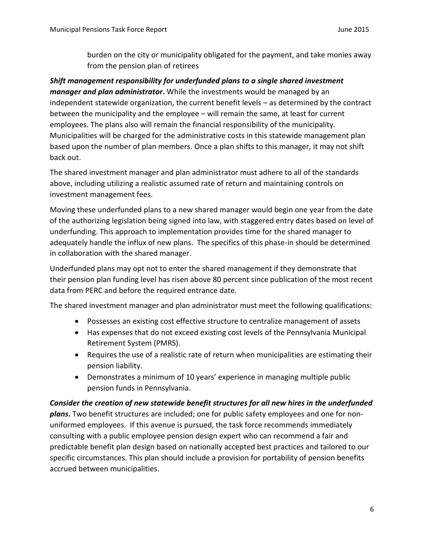burden on the city or municipality obligated for the payment, and take monies away from the pension plan of retirees

*Shift management responsibility for underfunded plans to a single shared investment manager and plan administrator***.** While the investments would be managed by an independent statewide organization, the current benefit levels – as determined by the contract between the municipality and the employee – will remain the same, at least for current employees. The plans also will remain the financial responsibility of the municipality. Municipalities will be charged for the administrative costs in this statewide management plan based upon the number of plan members. Once a plan shifts to this manager, it may not shift back out.

The shared investment manager and plan administrator must adhere to all of the standards above, including utilizing a realistic assumed rate of return and maintaining controls on investment management fees.

Moving these underfunded plans to a new shared manager would begin one year from the date of the authorizing legislation being signed into law, with staggered entry dates based on level of underfunding. This approach to implementation provides time for the shared manager to adequately handle the influx of new plans. The specifics of this phase-in should be determined in collaboration with the shared manager.

Underfunded plans may opt not to enter the shared management if they demonstrate that their pension plan funding level has risen above 80 percent since publication of the most recent data from PERC and before the required entrance date.

The shared investment manager and plan administrator must meet the following qualifications:

- Possesses an existing cost effective structure to centralize management of assets
- Has expenses that do not exceed existing cost levels of the Pennsylvania Municipal Retirement System (PMRS).
- Requires the use of a realistic rate of return when municipalities are estimating their pension liability.
- Demonstrates a minimum of 10 years' experience in managing multiple public pension funds in Pennsylvania.

#### *Consider the creation of new statewide benefit structures for all new hires in the underfunded*

*plans***.** Two benefit structures are included; one for public safety employees and one for nonuniformed employees. If this avenue is pursued, the task force recommends immediately consulting with a public employee pension design expert who can recommend a fair and predictable benefit plan design based on nationally accepted best practices and tailored to our specific circumstances. This plan should include a provision for portability of pension benefits accrued between municipalities.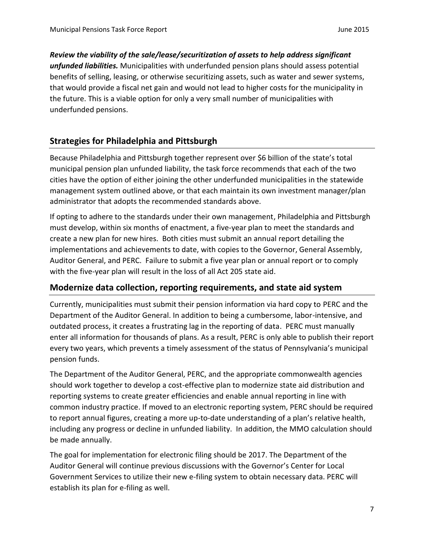*Review the viability of the sale/lease/securitization of assets to help address significant unfunded liabilities.* Municipalities with underfunded pension plans should assess potential benefits of selling, leasing, or otherwise securitizing assets, such as water and sewer systems, that would provide a fiscal net gain and would not lead to higher costs for the municipality in the future. This is a viable option for only a very small number of municipalities with underfunded pensions.

#### **Strategies for Philadelphia and Pittsburgh**

Because Philadelphia and Pittsburgh together represent over \$6 billion of the state's total municipal pension plan unfunded liability, the task force recommends that each of the two cities have the option of either joining the other underfunded municipalities in the statewide management system outlined above, or that each maintain its own investment manager/plan administrator that adopts the recommended standards above.

If opting to adhere to the standards under their own management, Philadelphia and Pittsburgh must develop, within six months of enactment, a five-year plan to meet the standards and create a new plan for new hires. Both cities must submit an annual report detailing the implementations and achievements to date, with copies to the Governor, General Assembly, Auditor General, and PERC. Failure to submit a five year plan or annual report or to comply with the five-year plan will result in the loss of all Act 205 state aid.

#### **Modernize data collection, reporting requirements, and state aid system**

Currently, municipalities must submit their pension information via hard copy to PERC and the Department of the Auditor General. In addition to being a cumbersome, labor-intensive, and outdated process, it creates a frustrating lag in the reporting of data. PERC must manually enter all information for thousands of plans. As a result, PERC is only able to publish their report every two years, which prevents a timely assessment of the status of Pennsylvania's municipal pension funds.

The Department of the Auditor General, PERC, and the appropriate commonwealth agencies should work together to develop a cost-effective plan to modernize state aid distribution and reporting systems to create greater efficiencies and enable annual reporting in line with common industry practice. If moved to an electronic reporting system, PERC should be required to report annual figures, creating a more up-to-date understanding of a plan's relative health, including any progress or decline in unfunded liability. In addition, the MMO calculation should be made annually.

The goal for implementation for electronic filing should be 2017. The Department of the Auditor General will continue previous discussions with the Governor's Center for Local Government Services to utilize their new e-filing system to obtain necessary data. PERC will establish its plan for e-filing as well.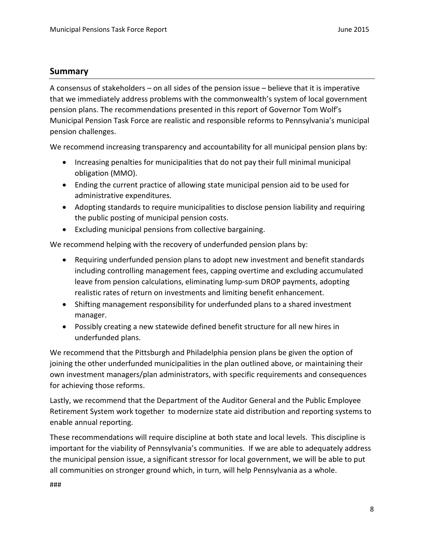#### **Summary**

A consensus of stakeholders – on all sides of the pension issue – believe that it is imperative that we immediately address problems with the commonwealth's system of local government pension plans. The recommendations presented in this report of Governor Tom Wolf's Municipal Pension Task Force are realistic and responsible reforms to Pennsylvania's municipal pension challenges.

We recommend increasing transparency and accountability for all municipal pension plans by:

- Increasing penalties for municipalities that do not pay their full minimal municipal obligation (MMO).
- Ending the current practice of allowing state municipal pension aid to be used for administrative expenditures.
- Adopting standards to require municipalities to disclose pension liability and requiring the public posting of municipal pension costs.
- Excluding municipal pensions from collective bargaining.

We recommend helping with the recovery of underfunded pension plans by:

- Requiring underfunded pension plans to adopt new investment and benefit standards including controlling management fees, capping overtime and excluding accumulated leave from pension calculations, eliminating lump-sum DROP payments, adopting realistic rates of return on investments and limiting benefit enhancement.
- Shifting management responsibility for underfunded plans to a shared investment manager.
- Possibly creating a new statewide defined benefit structure for all new hires in underfunded plans.

We recommend that the Pittsburgh and Philadelphia pension plans be given the option of joining the other underfunded municipalities in the plan outlined above, or maintaining their own investment managers/plan administrators, with specific requirements and consequences for achieving those reforms.

Lastly, we recommend that the Department of the Auditor General and the Public Employee Retirement System work together to modernize state aid distribution and reporting systems to enable annual reporting.

These recommendations will require discipline at both state and local levels. This discipline is important for the viability of Pennsylvania's communities. If we are able to adequately address the municipal pension issue, a significant stressor for local government, we will be able to put all communities on stronger ground which, in turn, will help Pennsylvania as a whole.

###